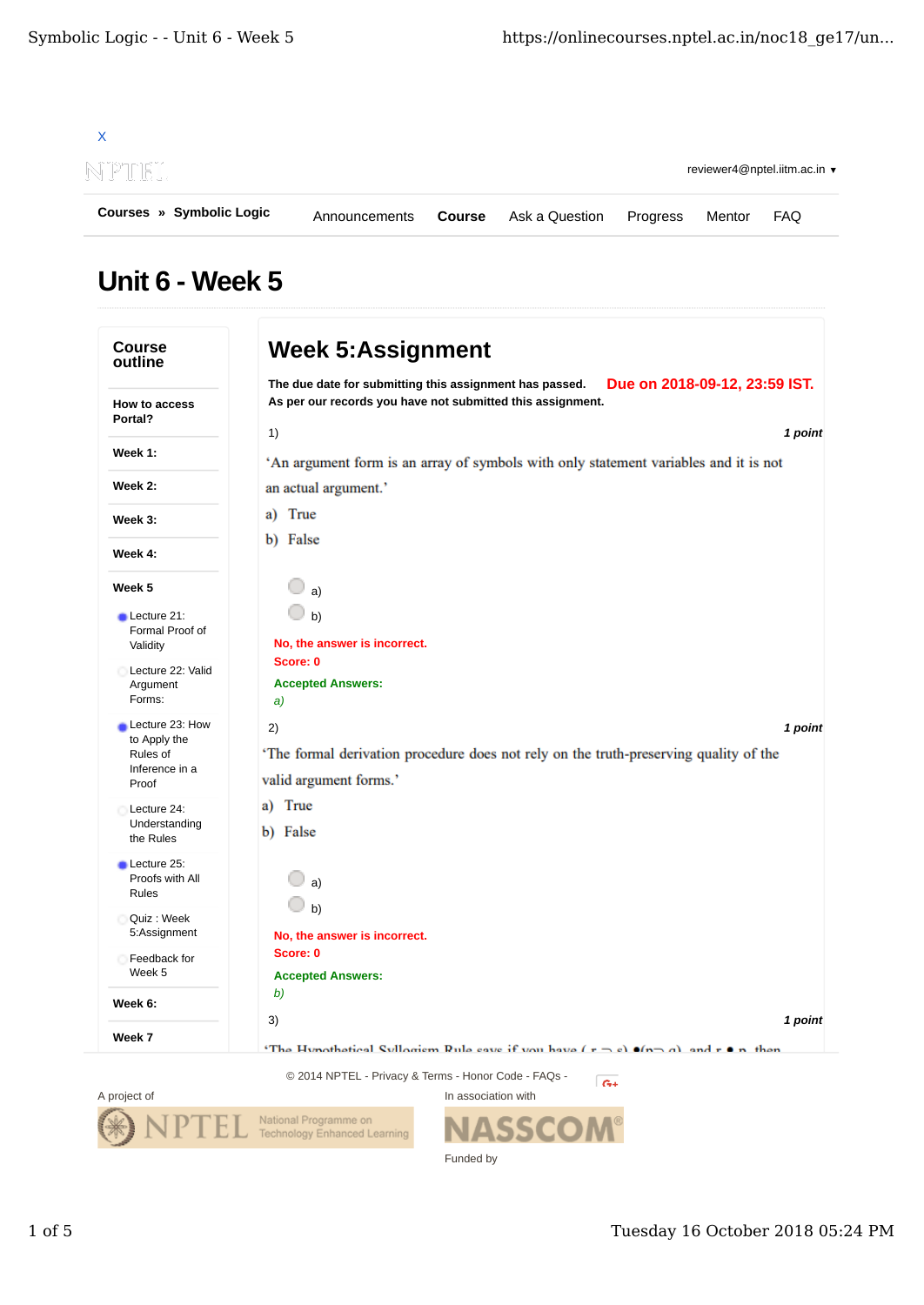

## Unit 6 - Week 5

| <b>Course</b><br>outline                  | <b>Week 5:Assignment</b>                                                                  |
|-------------------------------------------|-------------------------------------------------------------------------------------------|
|                                           | The due date for submitting this assignment has passed.<br>Due on 2018-09-12, 23:59 IST.  |
| How to access<br>Portal?                  | As per our records you have not submitted this assignment.                                |
|                                           | 1)<br>1 point                                                                             |
| Week 1:                                   | 'An argument form is an array of symbols with only statement variables and it is not      |
| Week 2:                                   | an actual argument.'                                                                      |
| Week 3:                                   | a) True                                                                                   |
| Week 4:                                   | b) False                                                                                  |
|                                           |                                                                                           |
| Week 5                                    | a)                                                                                        |
| Lecture 21:                               | b)                                                                                        |
| Formal Proof of<br>Validity               | No, the answer is incorrect.                                                              |
| Lecture 22: Valid                         | Score: 0                                                                                  |
| Argument                                  | <b>Accepted Answers:</b>                                                                  |
| Forms:                                    | a)                                                                                        |
| Lecture 23: How<br>to Apply the           | 1 point<br>2)                                                                             |
| Rules of<br>Inference in a                | 'The formal derivation procedure does not rely on the truth-preserving quality of the     |
| Proof                                     | valid argument forms.'                                                                    |
| Lecture 24:<br>Understanding<br>the Rules | a) True                                                                                   |
|                                           | b) False                                                                                  |
| Lecture 25:                               |                                                                                           |
| Proofs with All<br>Rules                  | a)                                                                                        |
| Quiz : Week<br>5:Assignment               | b)                                                                                        |
|                                           | No, the answer is incorrect.                                                              |
| Feedback for                              | Score: 0                                                                                  |
| Week 5                                    | <b>Accepted Answers:</b><br>b)                                                            |
| Week 6:                                   |                                                                                           |
| Week 7                                    | 3)<br>1 point                                                                             |
|                                           | 'The Hynothetical Syllogism Rule save if you have $(x - s)$ o(n a) and $x \bullet n$ then |
|                                           | © 2014 NPTEL - Privacy & Terms - Honor Code - FAQs -<br>$ G+$                             |



**NASSCOM®** Funded by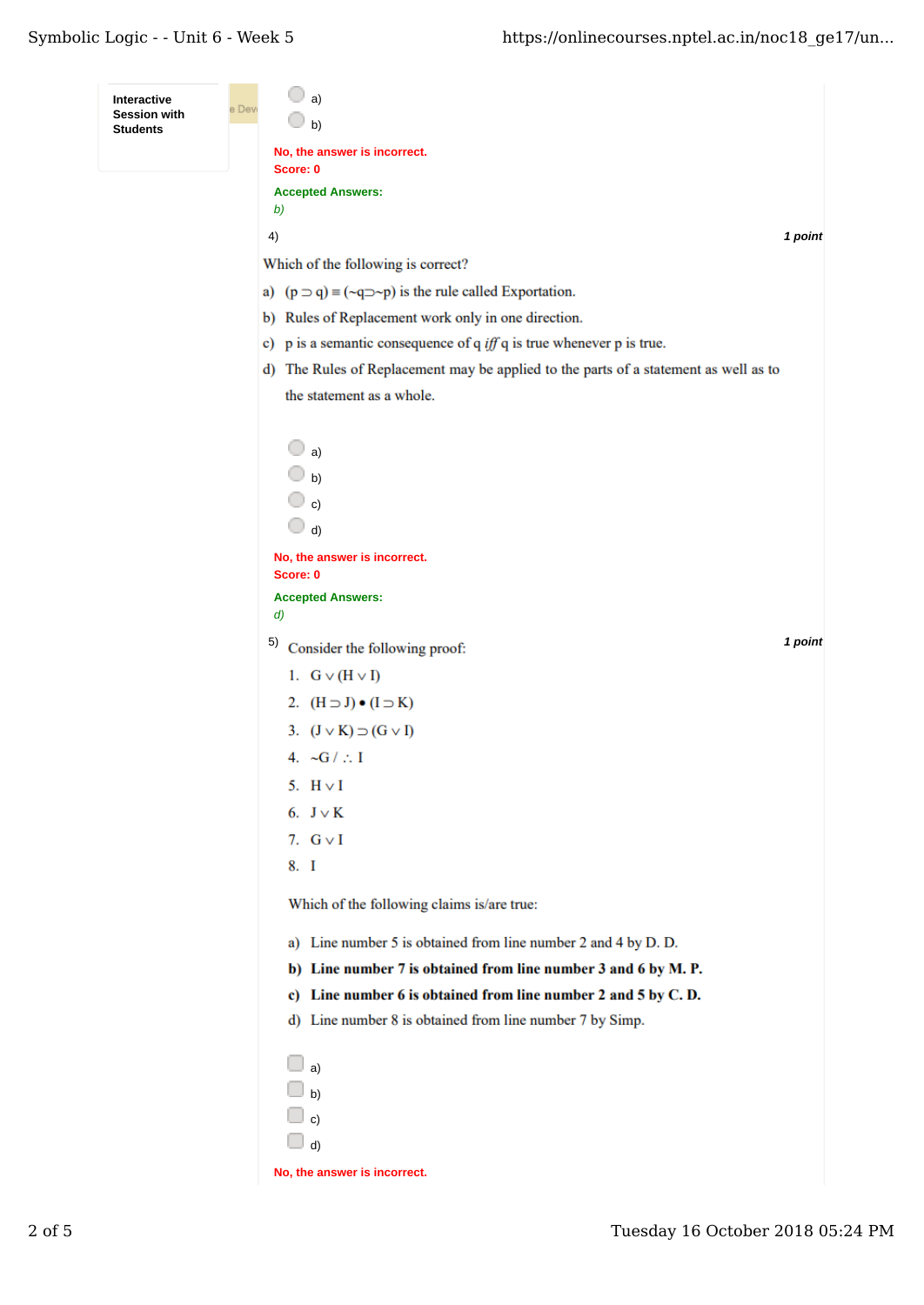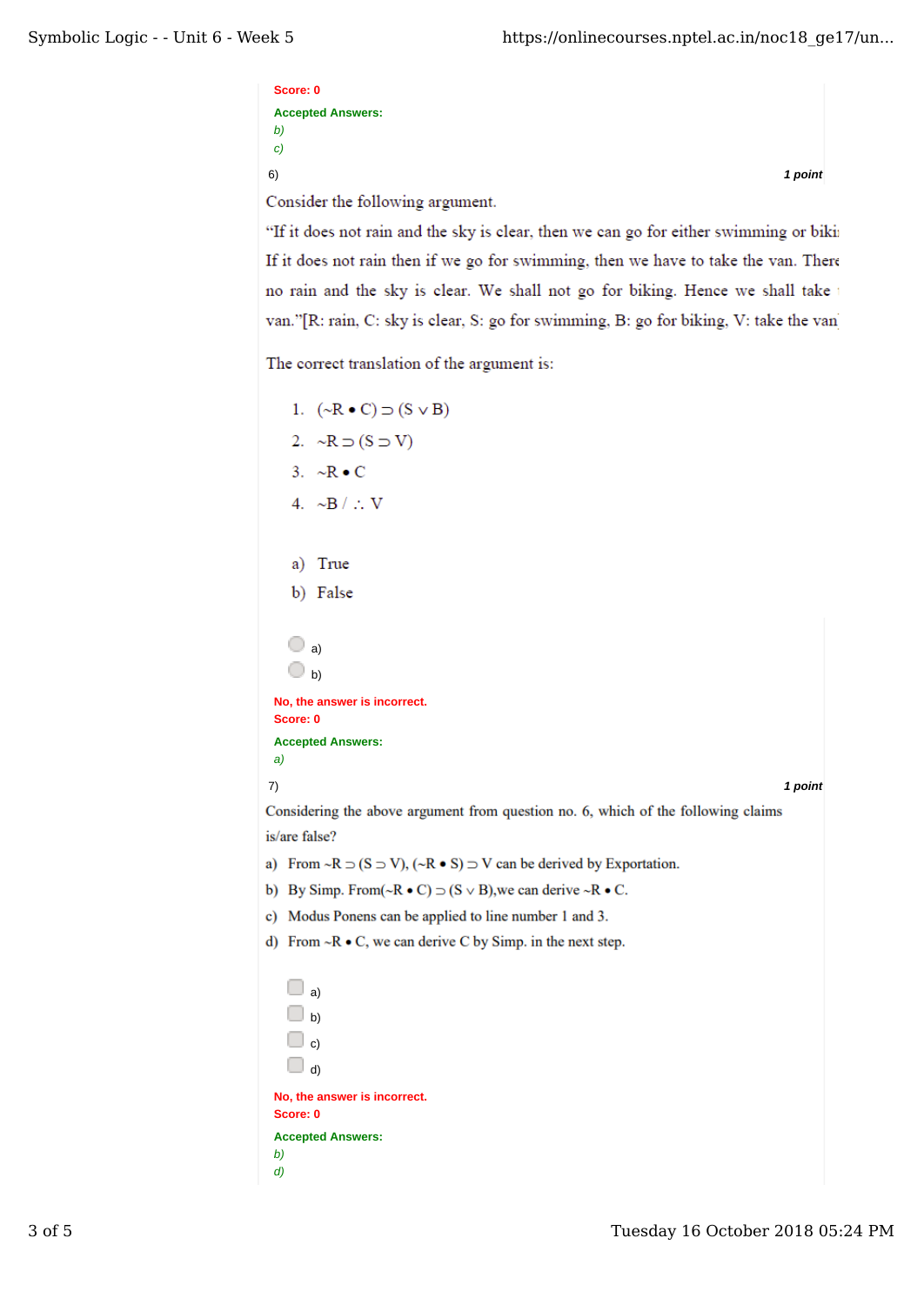```
Score: 0
Accepted Answers:
b)
c)
6) 1 point
Consider the following argument.
```
"If it does not rain and the sky is clear, then we can go for either swimming or biki If it does not rain then if we go for swimming, then we have to take the van. There no rain and the sky is clear. We shall not go for biking. Hence we shall take van."[R: rain, C: sky is clear, S: go for swimming, B: go for biking, V: take the van

The correct translation of the argument is:

```
1. (\sim R \bullet C) \supset (S \vee B)2. \sim R \supset (S \supset V)3. \sim R \bullet C4. \simB / \therefore V
    a) True
    b) False
    \bigcirc a)
    \bigcirc b)
 No, the answer is incorrect.
 Score: 0
 Accepted Answers:
 a)
7) 1 point
Considering the above argument from question no. 6, which of the following claims
is/are false?
a) From \sim R \supset (S \supset V), (\sim R \bullet S) \supset V can be derived by Exportation.
b) By Simp. From (\neg R \cdot C) \supset (S \vee B), we can derive \neg R \cdot C.
c) Modus Ponens can be applied to line number 1 and 3.
d) From \sim R \bullet C, we can derive C by Simp. in the next step.
   \square a)
   \Box b)
   \Box c)
   \Box d)
 No, the answer is incorrect.
 Score: 0
 Accepted Answers:
 b)
 d)
```